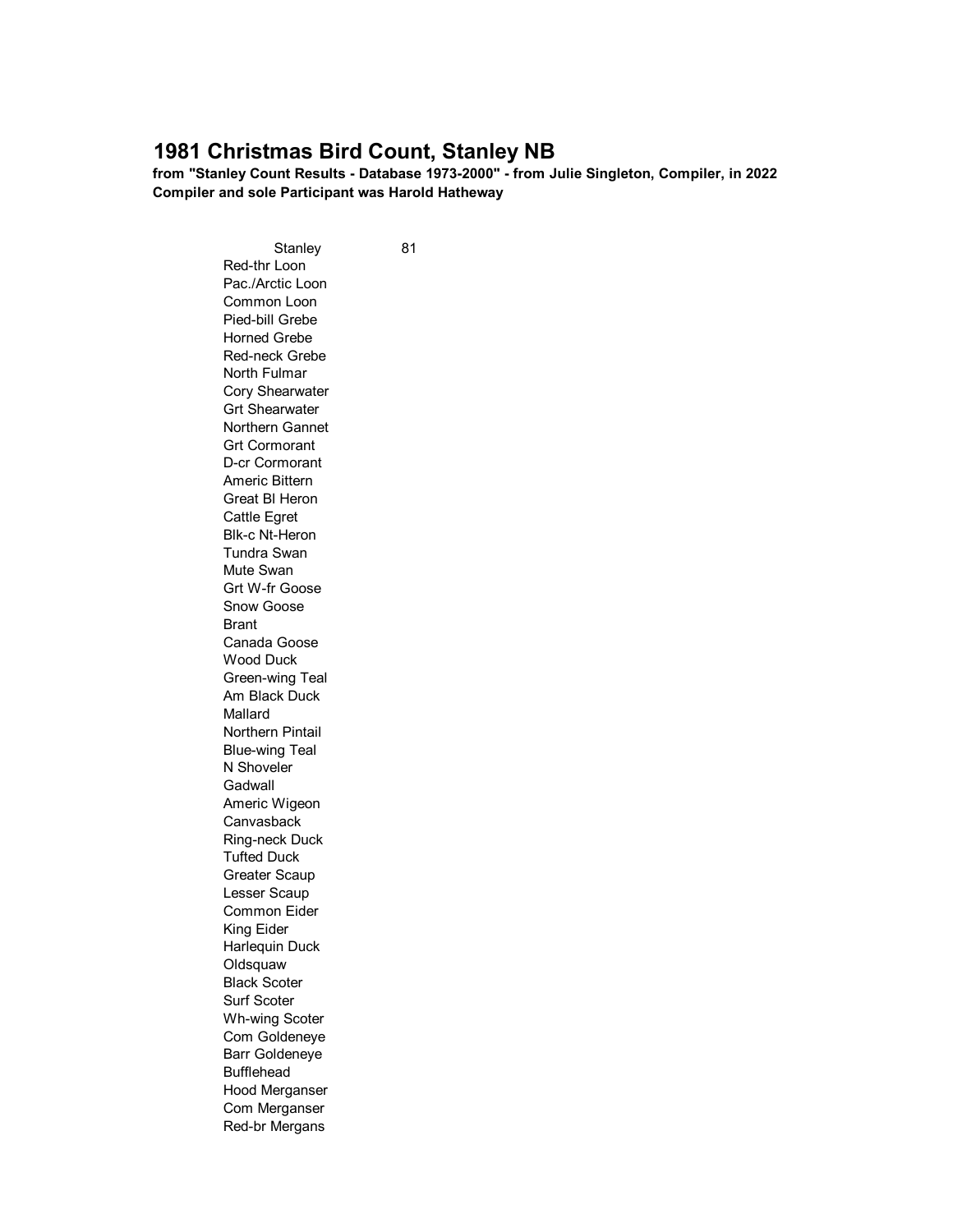## **1981 Christmas Bird Count, Stanley NB**

**from "Stanley Count Results - Database 1973-2000" - from Julie Singleton, Compiler, in 2022 Compiler and sole Participant was Harold Hatheway**

> Stanley 81 Red-thr Loon Pac./Arctic Loon Common Loon Pied-bill Grebe Horned Grebe Red-neck Grebe North Fulmar Cory Shearwater Grt Shearwater Northern Gannet Grt Cormorant D-cr Cormorant Americ Bittern Great Bl Heron Cattle Egret Blk-c Nt-Heron Tundra Swan Mute Swan Grt W-fr Goose Snow Goose Brant Canada Goose Wood Duck Green-wing Teal Am Black Duck Mallard Northern Pintail Blue-wing Teal N Shoveler Gadwall Americ Wigeon **Canvasback** Ring-neck Duck Tufted Duck Greater Scaup Lesser Scaup Common Eider King Eider Harlequin Duck **Oldsquaw** Black Scoter Surf Scoter Wh-wing Scoter Com Goldeneye Barr Goldeneye Bufflehead Hood Merganser Com Merganser Red-br Mergans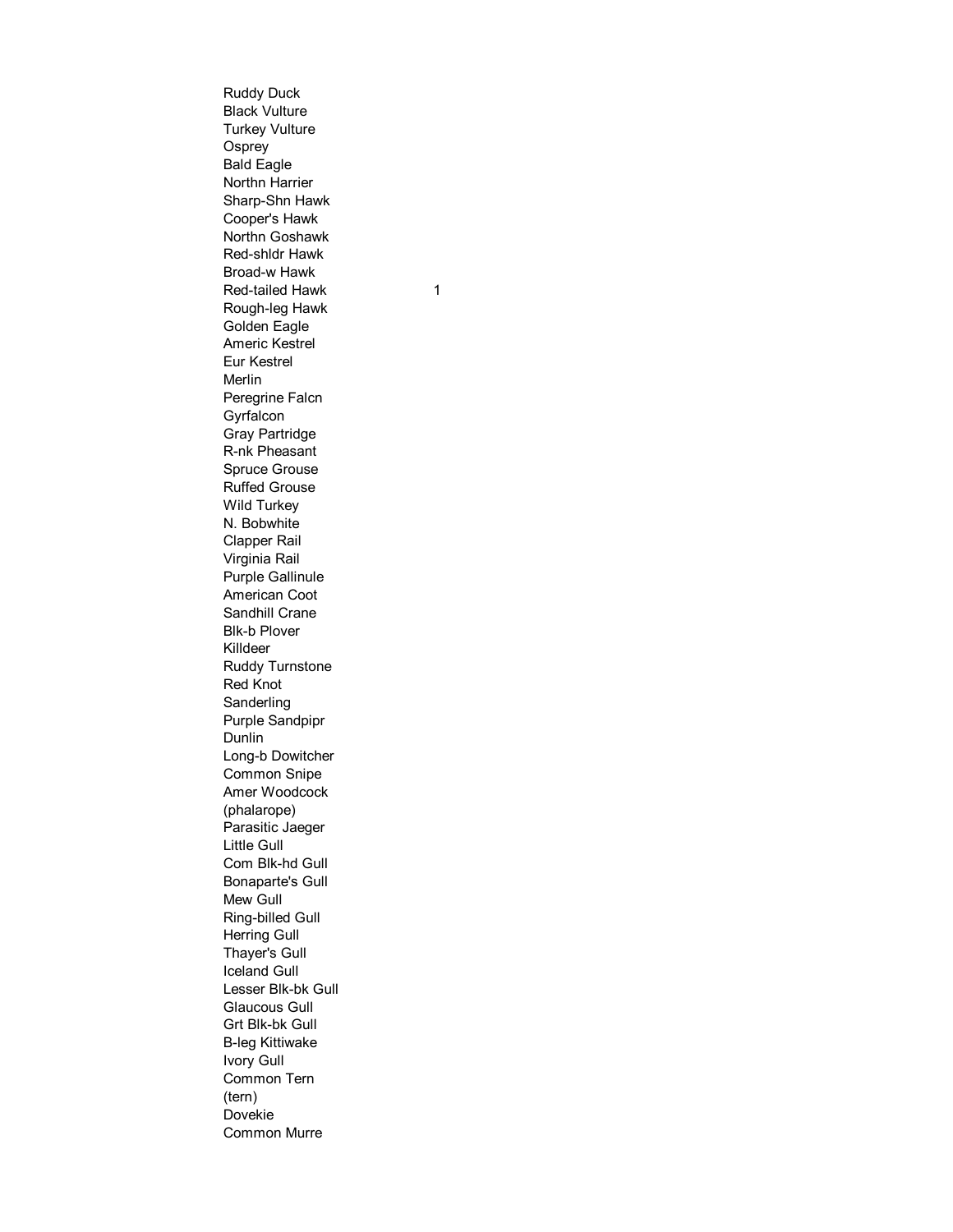Ruddy Duck Black Vulture Turkey Vulture **Osprey** Bald Eagle Northn Harrier Sharp-Shn Hawk Cooper's Hawk Northn Goshawk Red-shldr Hawk Broad-w Hawk Red-tailed Hawk Rough-leg Hawk Golden Eagle Americ Kestrel Eur Kestrel Merlin Peregrine Falcn **Gyrfalcon** Gray Partridge R-nk Pheasant Spruce Grouse Ruffed Grouse Wild Turkey N. Bobwhite Clapper Rail Virginia Rail Purple Gallinule American Coot Sandhill Crane Blk-b Plover Killdeer Ruddy Turnstone Red Knot **Sanderling** Purple Sandpipr Dunlin Long-b Dowitcher Common Snipe Amer Woodcock (phalarope) Parasitic Jaeger Little Gull Com Blk-hd Gull Bonaparte's Gull Mew Gull Ring-billed Gull Herring Gull Thayer's Gull Iceland Gull Lesser Blk-bk Gull Glaucous Gull Grt Blk-bk Gull B-leg Kittiwake Ivory Gull Common Tern (tern) Dovekie Common Murre

1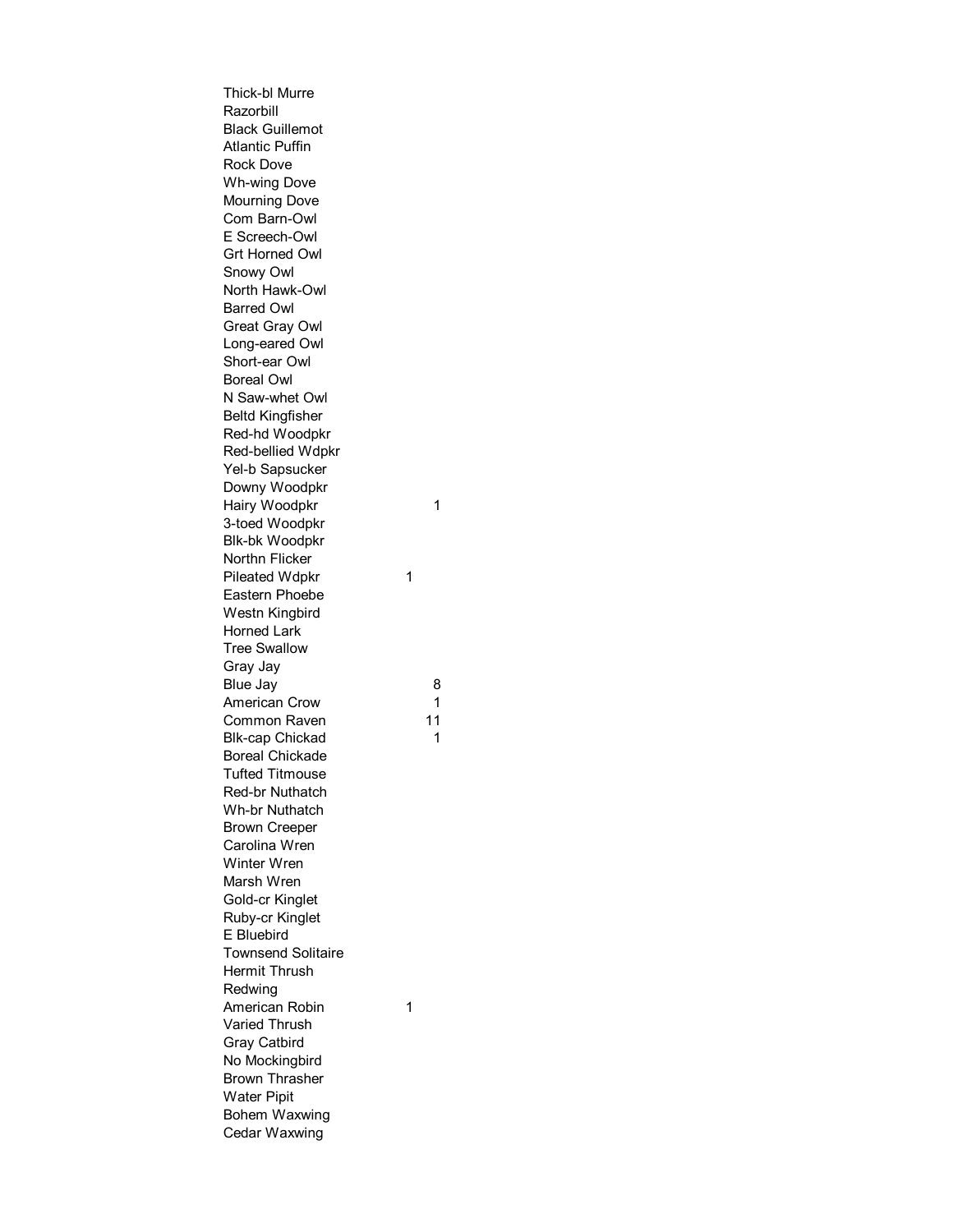Thick-bl Murre Razorbill Black Guillemot Atlantic Puffin Rock Dove Wh-wing Dove Mourning Dove Com Barn-Owl E Screech-Owl Grt Horned Owl Snowy Owl North Hawk-Owl Barred Owl Great Gray Owl Long-eared Owl Short-ear Owl Boreal Owl N Saw-whet Owl Beltd Kingfisher Red-hd Woodpkr Red-bellied Wdpkr Yel-b Sapsucker Downy Woodpkr Hairy Woodpkr 3-toed Woodpkr Blk-bk Woodpkr Northn Flicker Pileated Wdpkr Eastern Phoebe Westn Kingbird Horned Lark Tree Swallow Gray Jay Blue Jay American Crow Common Raven 11 Blk-cap Chickad Boreal Chickade Tufted Titmouse Red-br Nuthatch Wh-br Nuthatch Brown Creeper Carolina Wren Winter Wren Marsh Wren Gold-cr Kinglet Ruby-cr Kinglet E Bluebird Townsend Solitaire Hermit Thrush Redwing American Robin Varied Thrush Gray Catbird No Mockingbird Brown Thrasher Water Pipit Bohem Waxwing Cedar Waxwing

1

8

1

1

1

1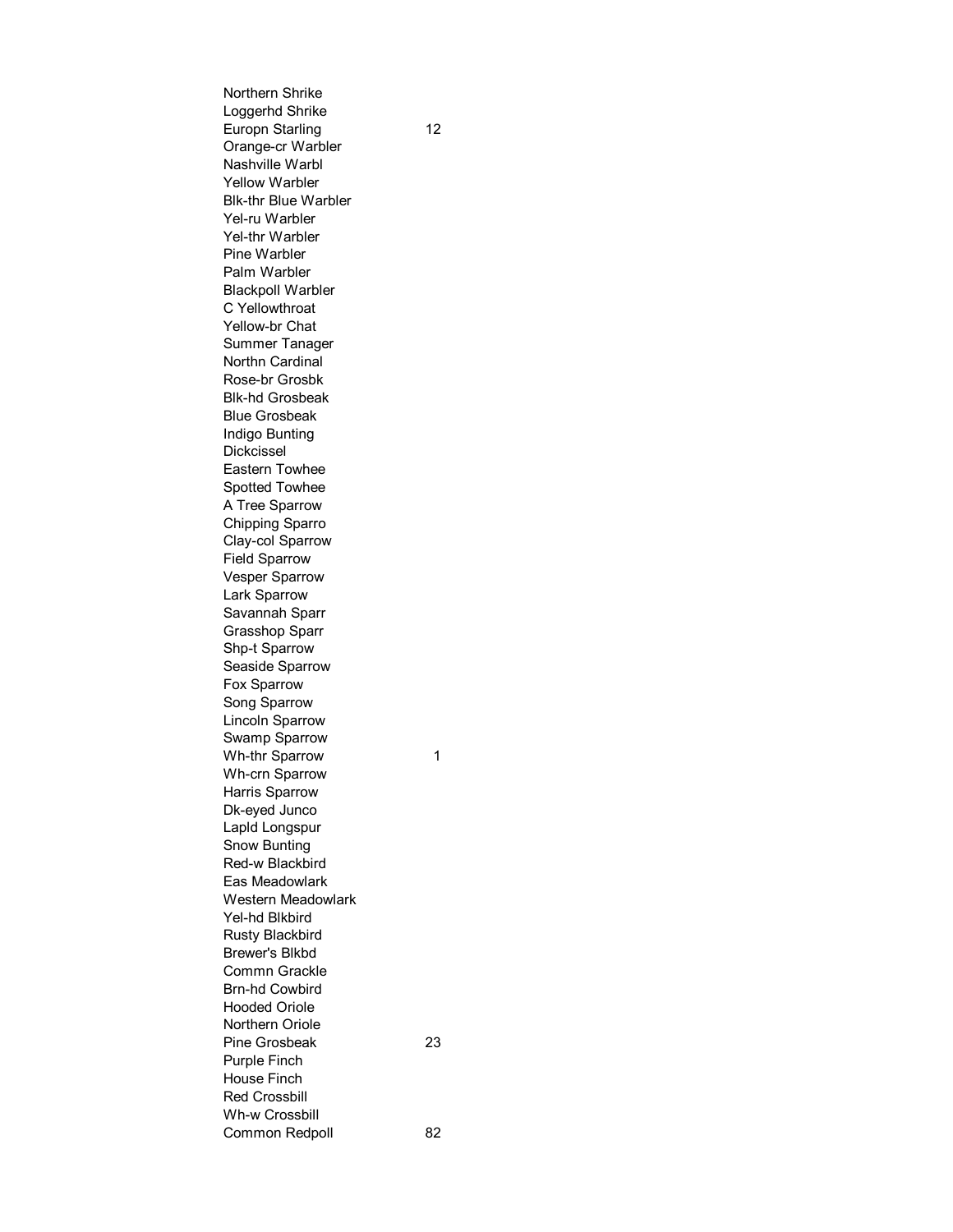Northern Shrike Loggerhd Shrike Europn Starling 12 Orange-cr Warbler Nashville Warbl Yellow Warbler Blk-thr Blue Warbler Yel-ru Warbler Yel-thr Warbler Pine Warbler Palm Warbler Blackpoll Warbler C Yellowthroat Yellow-br Chat Summer Tanager Northn Cardinal Rose-br Grosbk Blk-hd Grosbeak Blue Grosbeak Indigo Bunting Dickcissel Eastern Towhee Spotted Towhee A Tree Sparrow Chipping Sparro Clay-col Sparrow Field Sparrow Vesper Sparrow Lark Sparrow Savannah Sparr Grasshop Sparr Shp-t Sparrow Seaside Sparrow Fox Sparrow Song Sparrow Lincoln Sparrow Swamp Sparrow Wh-thr Sparrow 1 Wh-crn Sparrow Harris Sparrow Dk-eyed Junco Lapld Longspur Snow Bunting Red-w Blackbird Eas Meadowlark Western Meadowlark Yel-hd Blkbird Rusty Blackbird Brewer's Blkbd Commn Grackle Brn-hd Cowbird Hooded Oriole Northern Oriole Pine Grosbeak 23 Purple Finch House Finch Red Crossbill Wh-w Crossbill Common Redpoll 82